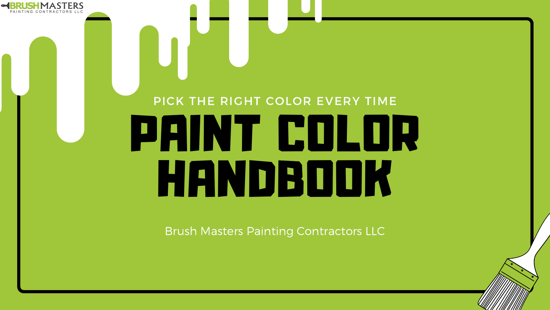

# PICK THE RIGHT COLOR EVERY TIME PAINT COLOR HANDBOOK

Brush Masters Painting Contractors LLC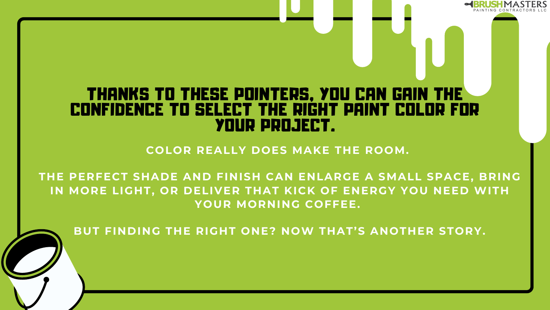### THANKS TO THESE POINTERS, YOU CAN GAIN THE CONFIDENCE TO SELECT THE RIGHT PAINT COLOR FOR YOUR PROJECT.

**COLOR REALLY DOES MAKE THE ROOM.**

**THE PERFECT SHADE AND FINISH CAN ENLARGE A SMALL SPACE, BRING IN MORE LIGHT, OR DELIVER THAT KICK OF ENERGY YOU NEED WITH YOUR MORNING COFFEE.**

**BUT FINDING THE RIGHT ONE? NOW THAT'S ANOTHER STORY.**

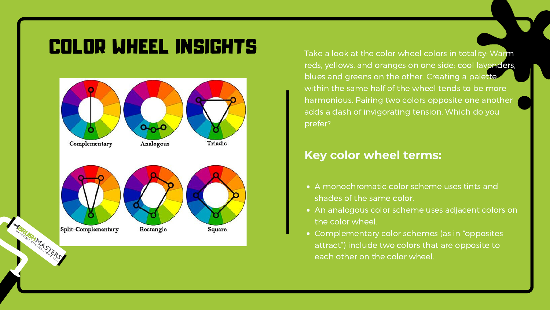- A monochromatic color scheme uses tints and shades of the same color.
- An analogous color scheme uses adjacent colors on the color wheel.
- **Complementary color schemes (as in "opposites** attract") include two colors that are opposite to each other on the color wheel.

Take a look at the color wheel colors in totality: Warm reds, yellows, and oranges on one side; cool lavenders, blues and greens on the other. Creating a palette within the same half of the wheel tends to be more harmonious. Pairing two colors opposite one another adds a dash of invigorating tension. Which do you prefer?

#### **Key color wheel terms:**

### COLOR WHEEL INSIGHTS

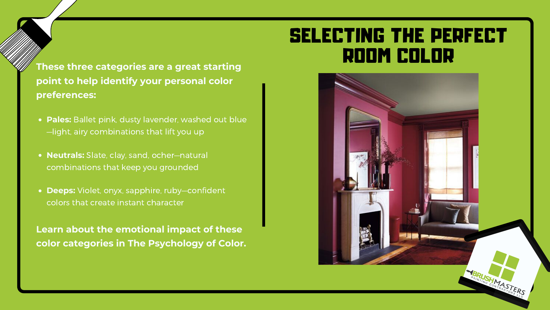- **Pales:** Ballet pink, dusty lavender, washed out blue —light, airy combinations that lift you up
- **Neutrals:** Slate, clay, sand, ocher—natural combinations that keep you grounded
- **Deeps:** Violet, onyx, sapphire, ruby—confident colors that create instant character

**These three categories are a great starting point to help identify your personal color preferences:**

**Learn about the emotional impact of these color categories in The Psychology of Color.**



### SELECTING THE PERFECT ROOM COLOR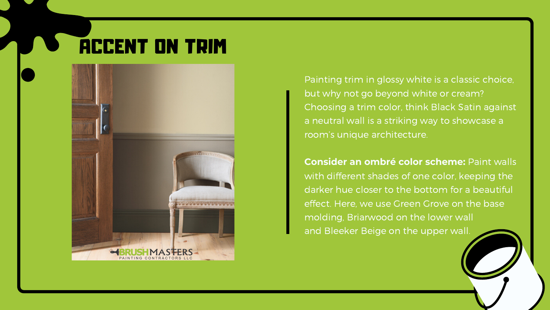Painting trim in glossy white is a classic choice, but why not go beyond white or cream? Choosing a trim color, think Black Satin against a neutral wall is a striking way to showcase a room's unique architecture.

**Consider an ombré color scheme:** Paint walls with different shades of one color, keeping the darker hue closer to the bottom for a beautiful effect. Here, we use Green Grove on the base molding, Briarwood on the lower wall and Bleeker Beige on the upper wall.

### ACCENT ON TRIM

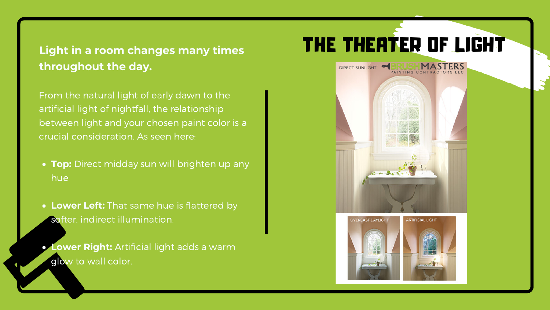**Lower Right:** Artificial light adds a warm glow to wall color.

#### **Light in a room changes many times throughout the day.**

From the natural light of early dawn to the artificial light of nightfall, the relationship between light and your chosen paint color is a crucial consideration. As seen here:

- **Top:** Direct midday sun will brighten up any hue
- **Lower Left:** That same hue is flattered by softer, indirect illumination.

## THE THEATER OF LIGHT





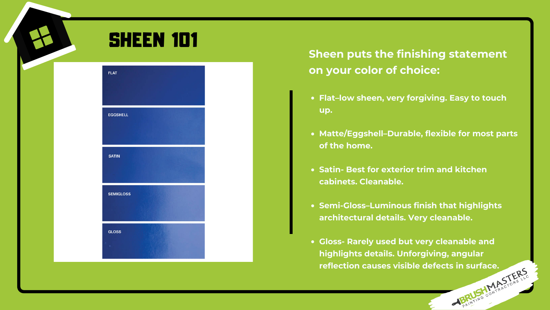**Flat–low sheen, very forgiving. Easy to touch**

- **up.**
- 
- 
- 
- 

**Matte/Eggshell–Durable, flexible for most parts of the home.**

**Satin- Best for exterior trim and kitchen cabinets. Cleanable.**

**Semi-Gloss–Luminous finish that highlights architectural details. Very cleanable.**

**Gloss- Rarely used but very cleanable and highlights details. Unforgiving, angular reflection causes visible defects in surface.**

#### **Sheen puts the finishing statement on your color of choice:**

### SHEEN 101